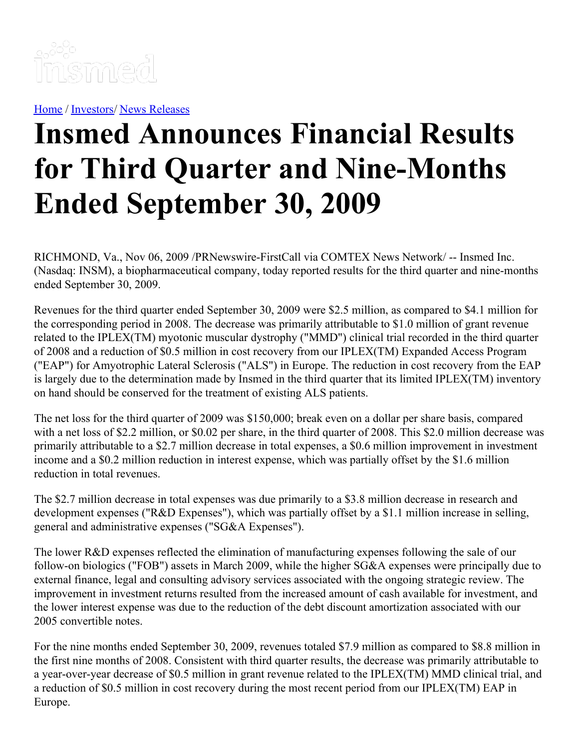

[Home](https://insmed.com/) / [Investors](https://investor.insmed.com/index)/ News [Releases](https://investor.insmed.com/releases)

# **Insmed Announces Financial Results for Third Quarter and Nine-Months Ended September 30, 2009**

RICHMOND, Va., Nov 06, 2009 /PRNewswire-FirstCall via COMTEX News Network/ -- Insmed Inc. (Nasdaq: INSM), a biopharmaceutical company, today reported results for the third quarter and nine-months ended September 30, 2009.

Revenues for the third quarter ended September 30, 2009 were \$2.5 million, as compared to \$4.1 million for the corresponding period in 2008. The decrease was primarily attributable to \$1.0 million of grant revenue related to the IPLEX(TM) myotonic muscular dystrophy ("MMD") clinical trial recorded in the third quarter of 2008 and a reduction of \$0.5 million in cost recovery from our IPLEX(TM) Expanded Access Program ("EAP") for Amyotrophic Lateral Sclerosis ("ALS") in Europe. The reduction in cost recovery from the EAP is largely due to the determination made by Insmed in the third quarter that its limited IPLEX(TM) inventory on hand should be conserved for the treatment of existing ALS patients.

The net loss for the third quarter of 2009 was \$150,000; break even on a dollar per share basis, compared with a net loss of \$2.2 million, or \$0.02 per share, in the third quarter of 2008. This \$2.0 million decrease was primarily attributable to a \$2.7 million decrease in total expenses, a \$0.6 million improvement in investment income and a \$0.2 million reduction in interest expense, which was partially offset by the \$1.6 million reduction in total revenues.

The \$2.7 million decrease in total expenses was due primarily to a \$3.8 million decrease in research and development expenses ("R&D Expenses"), which was partially offset by a \$1.1 million increase in selling, general and administrative expenses ("SG&A Expenses").

The lower R&D expenses reflected the elimination of manufacturing expenses following the sale of our follow-on biologics ("FOB") assets in March 2009, while the higher SG&A expenses were principally due to external finance, legal and consulting advisory services associated with the ongoing strategic review. The improvement in investment returns resulted from the increased amount of cash available for investment, and the lower interest expense was due to the reduction of the debt discount amortization associated with our 2005 convertible notes.

For the nine months ended September 30, 2009, revenues totaled \$7.9 million as compared to \$8.8 million in the first nine months of 2008. Consistent with third quarter results, the decrease was primarily attributable to a year-over-year decrease of \$0.5 million in grant revenue related to the IPLEX(TM) MMD clinical trial, and a reduction of \$0.5 million in cost recovery during the most recent period from our IPLEX(TM) EAP in Europe.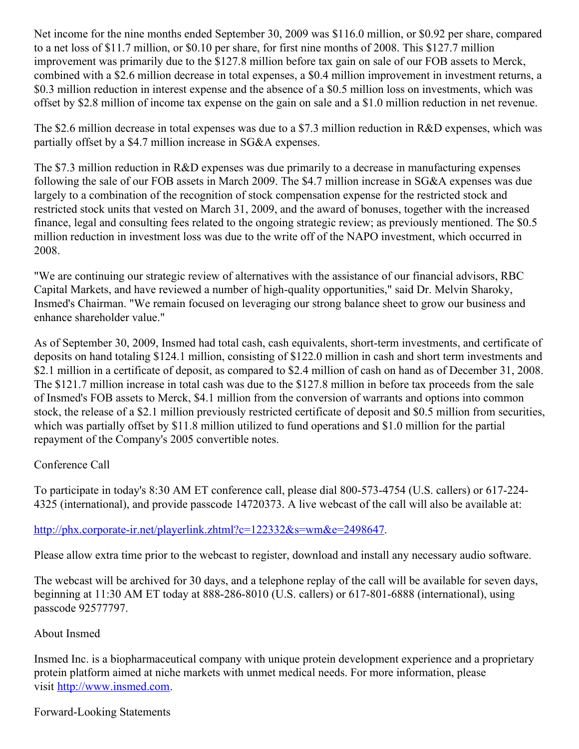Net income for the nine months ended September 30, 2009 was \$116.0 million, or \$0.92 per share, compared to a net loss of \$11.7 million, or \$0.10 per share, for first nine months of 2008. This \$127.7 million improvement was primarily due to the \$127.8 million before tax gain on sale of our FOB assets to Merck, combined with a \$2.6 million decrease in total expenses, a \$0.4 million improvement in investment returns, a \$0.3 million reduction in interest expense and the absence of a \$0.5 million loss on investments, which was offset by \$2.8 million of income tax expense on the gain on sale and a \$1.0 million reduction in net revenue.

The \$2.6 million decrease in total expenses was due to a \$7.3 million reduction in R&D expenses, which was partially offset by a \$4.7 million increase in SG&A expenses.

The \$7.3 million reduction in R&D expenses was due primarily to a decrease in manufacturing expenses following the sale of our FOB assets in March 2009. The \$4.7 million increase in SG&A expenses was due largely to a combination of the recognition of stock compensation expense for the restricted stock and restricted stock units that vested on March 31, 2009, and the award of bonuses, together with the increased finance, legal and consulting fees related to the ongoing strategic review; as previously mentioned. The \$0.5 million reduction in investment loss was due to the write off of the NAPO investment, which occurred in 2008.

"We are continuing our strategic review of alternatives with the assistance of our financial advisors, RBC Capital Markets, and have reviewed a number of high-quality opportunities," said Dr. Melvin Sharoky, Insmed's Chairman. "We remain focused on leveraging our strong balance sheet to grow our business and enhance shareholder value."

As of September 30, 2009, Insmed had total cash, cash equivalents, short-term investments, and certificate of deposits on hand totaling \$124.1 million, consisting of \$122.0 million in cash and short term investments and \$2.1 million in a certificate of deposit, as compared to \$2.4 million of cash on hand as of December 31, 2008. The \$121.7 million increase in total cash was due to the \$127.8 million in before tax proceeds from the sale of Insmed's FOB assets to Merck, \$4.1 million from the conversion of warrants and options into common stock, the release of a \$2.1 million previously restricted certificate of deposit and \$0.5 million from securities, which was partially offset by \$11.8 million utilized to fund operations and \$1.0 million for the partial repayment of the Company's 2005 convertible notes.

## Conference Call

To participate in today's 8:30 AM ET conference call, please dial 800-573-4754 (U.S. callers) or 617-224- 4325 (international), and provide passcode 14720373. A live webcast of the call will also be available at:

### <http://phx.corporate-ir.net/playerlink.zhtml?c=122332&s=wm&e=2498647>.

Please allow extra time prior to the webcast to register, download and install any necessary audio software.

The webcast will be archived for 30 days, and a telephone replay of the call will be available for seven days, beginning at 11:30 AM ET today at 888-286-8010 (U.S. callers) or 617-801-6888 (international), using passcode 92577797.

### About Insmed

Insmed Inc. is a biopharmaceutical company with unique protein development experience and a proprietary protein platform aimed at niche markets with unmet medical needs. For more information, please visit [http://www.insmed.com](http://www.insmed.com/).

### Forward-Looking Statements